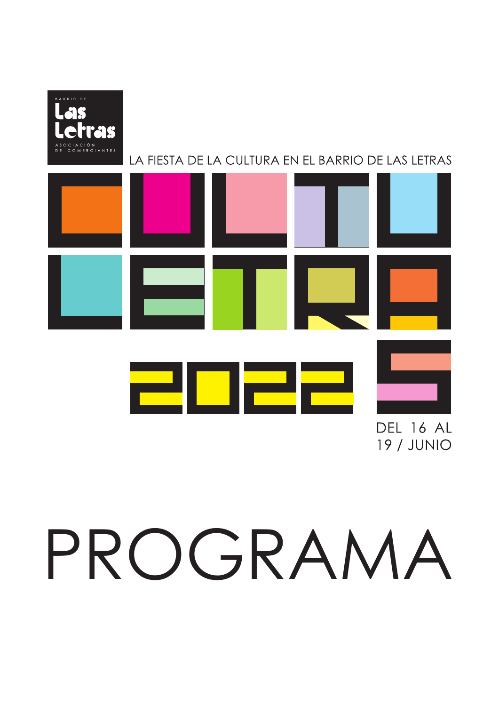

#### LA FIESTA DE LA CULTURA EN EL BARRIO DE LAS LETRAS

|  |  | <b>DEL 16 AL</b> |
|--|--|------------------|

**19 / JUNIO** 

# PROGRAMA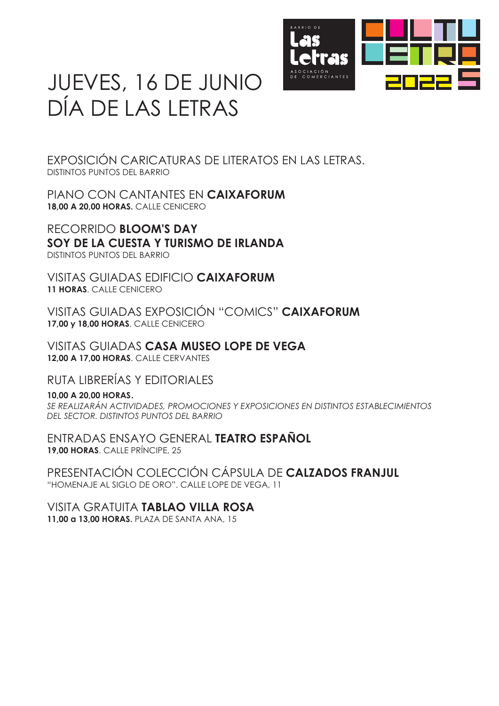

### JUEVES, 16 DE JUNIO DÍA DE LAS LETRAS

EXPOSICIÓN CARICATURAS DE LITERATOS EN LAS LETRAS. DISTINTOS PUNTOS DEL BARRIO

PIANO CON CANTANTES EN **CAIXAFORUM 18,00 A 20,00 HORAS.** CALLE CENICERO

RECORRIDO **BLOOM'S DAY SOY DE LA CUESTA Y TURISMO DE IRLANDA** DISTINTOS PUNTOS DEL BARRIO

VISITAS GUIADAS EDIFICIO **CAIXAFORUM 11 HORAS**. CALLE CENICERO

VISITAS GUIADAS EXPOSICIÓN "COMICS" **CAIXAFORUM 17,00 y 18,00 HORAS**. CALLE CENICERO

VISITAS GUIADAS **CASA MUSEO LOPE DE VEGA 12,00 A 17,00 HORAS**. CALLE CERVANTES

RUTA LIBRERÍAS Y EDITORIALES

**10,00 A 20,00 HORAS**. *SE REALIZARÁN ACTIVIDADES, PROMOCIONES Y EXPOSICIONES EN DISTINTOS ESTABLECIMIENTOS DEL SECTOR. DISTINTOS PUNTOS DEL BARRIO*

ENTRADAS ENSAYO GENERAL **TEATRO ESPAÑOL 19,00 HORAS**. CALLE PRÍNCIPE, 25

PRESENTACIÓN COLECCIÓN CÁPSULA DE **CALZADOS FRANJUL** "HOMENAJE AL SIGLO DE ORO". CALLE LOPE DE VEGA, 11

VISITA GRATUITA **TABLAO VILLA ROSA 11,00 a 13,00 HORAS.** PLAZA DE SANTA ANA, 15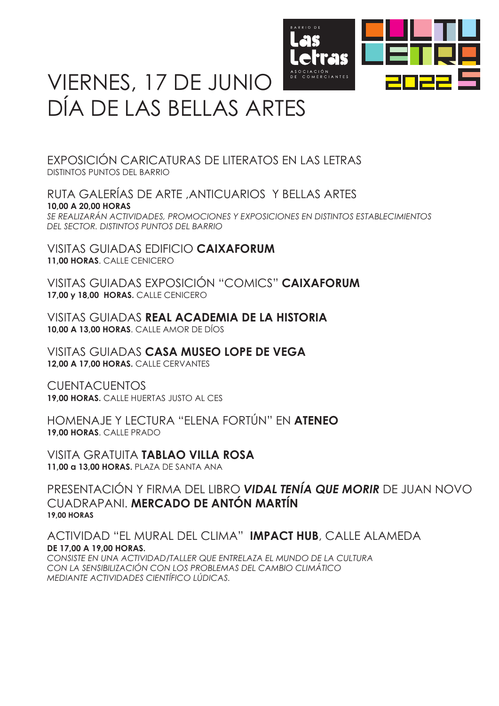

## VIERNES, 17 DE JUNIO DÍA DE LAS BELLAS ARTES

EXPOSICIÓN CARICATURAS DE LITERATOS EN LAS LETRAS DISTINTOS PUNTOS DEL BARRIO

RUTA GALERÍAS DE ARTE ,ANTICUARIOS Y BELLAS ARTES **10,00 A 20,00 HORAS** *SE REALIZARÁN ACTIVIDADES, PROMOCIONES Y EXPOSICIONES EN DISTINTOS ESTABLECIMIENTOS DEL SECTOR. DISTINTOS PUNTOS DEL BARRIO*

VISITAS GUIADAS EDIFICIO **CAIXAFORUM 11,00 HORAS**. CALLE CENICERO

VISITAS GUIADAS EXPOSICIÓN "COMICS" **CAIXAFORUM 17,00 y 18,00 HORAS.** CALLE CENICERO

VISITAS GUIADAS **REAL ACADEMIA DE LA HISTORIA 10,00 A 13,00 HORAS**. CALLE AMOR DE DÍOS

VISITAS GUIADAS **CASA MUSEO LOPE DE VEGA 12,00 A 17,00 HORAS.** CALLE CERVANTES

**CUENTACUENTOS 19,00 HORAS.** CALLE HUERTAS JUSTO AL CES

HOMENAJE Y LECTURA "ELENA FORTÚN" EN **ATENEO 19,00 HORAS**. CALLE PRADO

VISITA GRATUITA **TABLAO VILLA ROSA 11,00 a 13,00 HORAS.** PLAZA DE SANTA ANA

PRESENTACIÓN Y FIRMA DEL LIBRO *VIDAL TENÍA QUE MORIR* DE JUAN NOVO CUADRAPANI. **MERCADO DE ANTÓN MARTÍN 19,00 HORAS**

ACTIVIDAD "EL MURAL DEL CLIMA" **IMPACT HUB**, CALLE ALAMEDA**DE 17,00 A 19,00 HORAS.**

*CONSISTE EN UNA ACTIVIDAD/TALLER QUE ENTRELAZA EL MUNDO DE LA CULTURA CON LA SENSIBILIZACIÓN CON LOS PROBLEMAS DEL CAMBIO CLIMÁTICO MEDIANTE ACTIVIDADES CIENTÍFICO LÚDICAS.*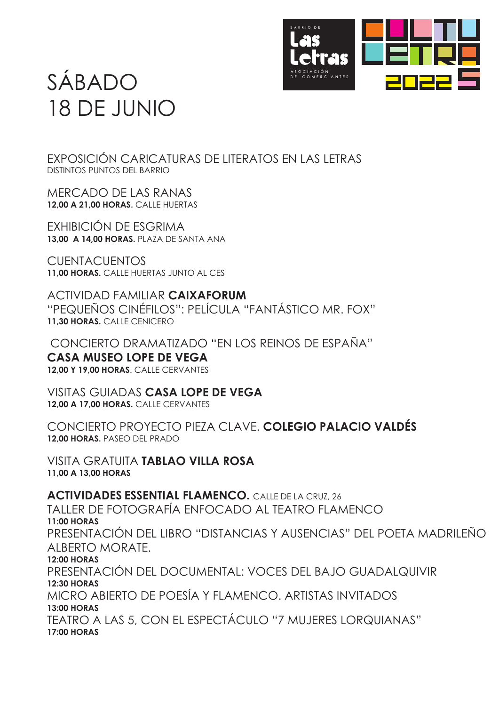

# SÁBADO 18 DE JUNIO

EXPOSICIÓN CARICATURAS DE LITERATOS EN LAS LETRAS DISTINTOS PUNTOS DEL BARRIO

MERCADO DE LAS RANAS **12,00 A 21,00 HORAS.** CALLE HUERTAS

EXHIBICIÓN DE ESGRIMA **13,00 A 14,00 HORAS.** PLAZA DE SANTA ANA

**CUENTACUENTOS 11,00 HORAS.** CALLE HUERTAS JUNTO AL CES

ACTIVIDAD FAMILIAR **CAIXAFORUM** "PEQUEÑOS CINÉFILOS": PELÍCULA "FANTÁSTICO MR. FOX" **11,30 HORAS.** CALLE CENICERO

 CONCIERTO DRAMATIZADO "EN LOS REINOS DE ESPAÑA" **CASA MUSEO LOPE DE VEGA 12,00 Y 19,00 HORAS**. CALLE CERVANTES

VISITAS GUIADAS **CASA LOPE DE VEGA 12,00 A 17,00 HORAS.** CALLE CERVANTES

CONCIERTO PROYECTO PIEZA CLAVE. **COLEGIO PALACIO VALDÉS 12,00 HORAS.** PASEO DEL PRADO

VISITA GRATUITA **TABLAO VILLA ROSA 11,00 A 13,00 HORAS**

**ACTIVIDADES ESSENTIAL FLAMENCO.** CALLE DE LA CRUZ, 26 TALLER DE FOTOGRAFÍA ENFOCADO AL TEATRO FLAMENCO PRESENTACIÓN DEL LIBRO "DISTANCIAS Y AUSENCIAS" DEL POETA MADRILEÑO ALBERTO MORATE. PRESENTACIÓN DEL DOCUMENTAL: VOCES DEL BAJO GUADALQUIVIR MICRO ABIERTO DE POESÍA Y FLAMENCO. ARTISTAS INVITADOS **13:00 HORAS** TEATRO A LAS 5, CON EL ESPECTÁCULO "7 MUJERES LORQUIANAS" **17:00 HORAS 11:00 HORAS 12:00 HORAS 12:30 HORAS**